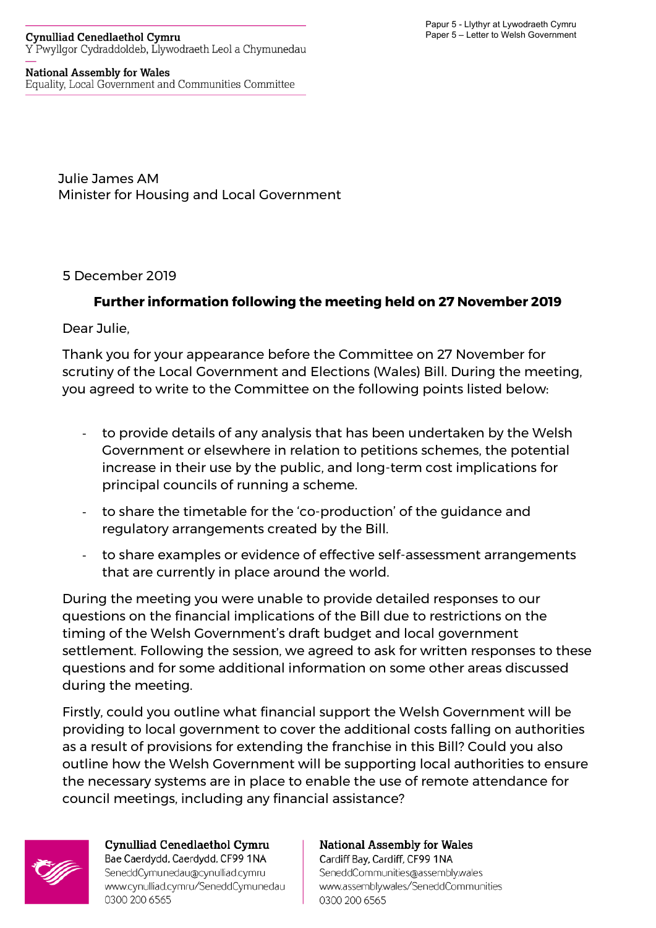## **Cynulliad Cenedlaethol Cymru** Y Pwyllgor Cydraddoldeb, Llywodraeth Leol a Chymunedau

## **National Assembly for Wales**

Equality, Local Government and Communities Committee

Julie James AM Minister for Housing and Local Government

5 December 2019

## **Further information following the meeting held on 27 November 2019**

Dear Julie,

Thank you for your appearance before the Committee on 27 November for scrutiny of the Local Government and Elections (Wales) Bill. During the meeting, you agreed to write to the Committee on the following points listed below:

- to provide details of any analysis that has been undertaken by the Welsh Government or elsewhere in relation to petitions schemes, the potential increase in their use by the public, and long-term cost implications for principal councils of running a scheme.
- to share the timetable for the 'co-production' of the guidance and regulatory arrangements created by the Bill.
- to share examples or evidence of effective self-assessment arrangements that are currently in place around the world.

During the meeting you were unable to provide detailed responses to our questions on the financial implications of the Bill due to restrictions on the timing of the Welsh Government's draft budget and local government settlement. Following the session, we agreed to ask for written responses to these questions and for some additional information on some other areas discussed during the meeting.

Firstly, could you outline what financial support the Welsh Government will be providing to local government to cover the additional costs falling on authorities as a result of provisions for extending the franchise in this Bill? Could you also outline how the Welsh Government will be supporting local authorities to ensure the necessary systems are in place to enable the use of remote attendance for council meetings, including any financial assistance?

0300 200 6565



Cynulliad Cenedlaethol Cymru Bae Caerdydd, Caerdydd, CF99 1NA SeneddCymunedau@cynulliad.cymru www.cynulliad.cymru/SeneddCymunedau 0300 200 6565

## **National Assembly for Wales** Cardiff Bay, Cardiff, CF99 1NA SeneddCommunities@assembly.wales www.assembly.wales/SeneddCommunities